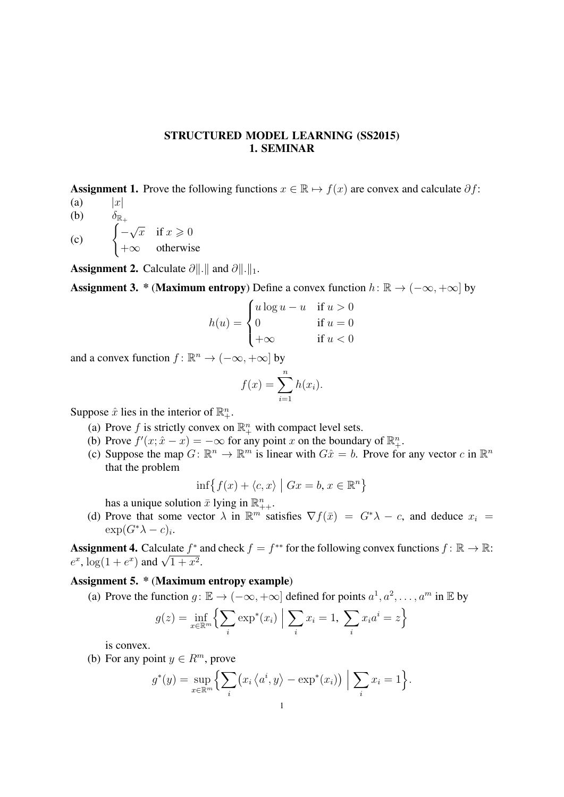## STRUCTURED MODEL LEARNING (SS2015) 1. SEMINAR

Assignment 1. Prove the following functions  $x \in \mathbb{R} \mapsto f(x)$  are convex and calculate  $\partial f$ :

- (a)  $|x|$ (b)  $\delta_{\mathbb{R}_+}$
- $\left( \begin{matrix} c \end{matrix} \right) \left( \begin{matrix} -c \end{matrix} \right)$  $\sqrt{x}$  if  $x \geqslant 0$  $+\infty$  otherwise

Assignment 2. Calculate ∂ $\|\cdot\|$  and ∂ $\|\cdot\|_1$ .

**Assignment 3.** \* (Maximum entropy) Define a convex function  $h: \mathbb{R} \to (-\infty, +\infty]$  by

$$
h(u) = \begin{cases} u \log u - u & \text{if } u > 0 \\ 0 & \text{if } u = 0 \\ +\infty & \text{if } u < 0 \end{cases}
$$

and a convex function  $f: \mathbb{R}^n \to (-\infty, +\infty]$  by

$$
f(x) = \sum_{i=1}^{n} h(x_i).
$$

Suppose  $\hat{x}$  lies in the interior of  $\mathbb{R}^n_+$ .

- (a) Prove f is strictly convex on  $\mathbb{R}^n_+$  with compact level sets.
- (b) Prove  $f'(x; \hat{x} x) = -\infty$  for any point x on the boundary of  $\mathbb{R}^n_+$ .
- (c) Suppose the map  $G: \mathbb{R}^n \to \mathbb{R}^m$  is linear with  $G\hat{x} = b$ . Prove for any vector c in  $\mathbb{R}^n$ that the problem

$$
\inf \{ f(x) + \langle c, x \rangle \mid Gx = b, x \in \mathbb{R}^n \}
$$

has a unique solution  $\bar{x}$  lying in  $\mathbb{R}_{++}^n$ .

(d) Prove that some vector  $\lambda$  in  $\mathbb{R}^{m'}$  satisfies  $\nabla f(\bar{x}) = G^*\lambda - c$ , and deduce  $x_i =$  $\exp(G^*\lambda-c)_i$ .

**Assignment 4.** Calculate  $f^*$  and check  $f = f^{**}$  for the following convex functions  $f: \mathbb{R} \to \mathbb{R}$ : **Assignment 4.** Calculate  $f^2$ :<br> $e^x$ ,  $\log(1 + e^x)$  and  $\sqrt{1 + x^2}$ .

## Assignment 5. \* (Maximum entropy example)

(a) Prove the function  $g: \mathbb{E} \to (-\infty, +\infty]$  defined for points  $a^1, a^2, \dots, a^m$  in  $\mathbb{E}$  by

$$
g(z) = \inf_{x \in \mathbb{R}^m} \left\{ \sum_i \exp^*(x_i) \middle| \sum_i x_i = 1, \sum_i x_i a^i = z \right\}
$$

is convex.

(b) For any point  $y \in R^m$ , prove

$$
g^*(y) = \sup_{x \in \mathbb{R}^m} \left\{ \sum_i (x_i \left\langle a^i, y \right\rangle - \exp^*(x_i)) \middle| \sum_i x_i = 1 \right\}.
$$